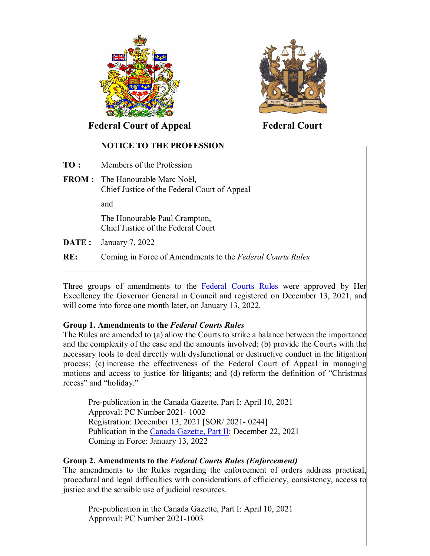



 **Federal Court of Appeal Federal Court**

## **NOTICE TO THE PROFESSION**

- **TO :** Members of the Profession
- **FROM :** The Honourable Marc Noël, Chief Justice of the Federal Court of Appeal

and

The Honourable Paul Crampton, Chief Justice of the Federal Court

- **DATE :** January 7, 2022
- **RE:** Coming in Force of Amendments to the *Federal Courts Rules*  $\mathcal{L}_\mathcal{L}$  , and the contribution of the contribution of the contribution of the contribution of the contribution of the contribution of the contribution of the contribution of the contribution of the contribution of

Three groups of amendments to the [Federal Courts Rules](https://laws-lois.justice.gc.ca/eng/regulations/sor-98-106/#hist) were approved by Her Excellency the Governor General in Council and registered on December 13, 2021, and will come into force one month later, on January 13, 2022.

## **Group 1. Amendments to the** *Federal Courts Rules*

The Rules are amended to (a) allow the Courts to strike a balance between the importance and the complexity of the case and the amounts involved; (b) provide the Courts with the necessary tools to deal directly with dysfunctional or destructive conduct in the litigation process; (c) increase the effectiveness of the Federal Court of Appeal in managing motions and access to justice for litigants; and (d) reform the definition of "Christmas recess" and "holiday."

Pre-publication in the Canada Gazette, Part I: April 10, 2021 Approval: PC Number 2021- 1002 Registration: December 13, 2021 [SOR/ 2021- 0244] Publication in the [Canada Gazette, Part II:](https://canadagazette.gc.ca/rp-pr/p2/2021/2021-12-22/pdf/g2-15526.pdf#page=215) December 22, 2021 Coming in Force: January 13, 2022

## **Group 2. Amendments to the** *Federal Courts Rules (Enforcement)*

The amendments to the Rules regarding the enforcement of orders address practical, procedural and legal difficulties with considerations of efficiency, consistency, access to justice and the sensible use of judicial resources.

Pre-publication in the Canada Gazette, Part I: April 10, 2021 Approval: PC Number 2021-1003